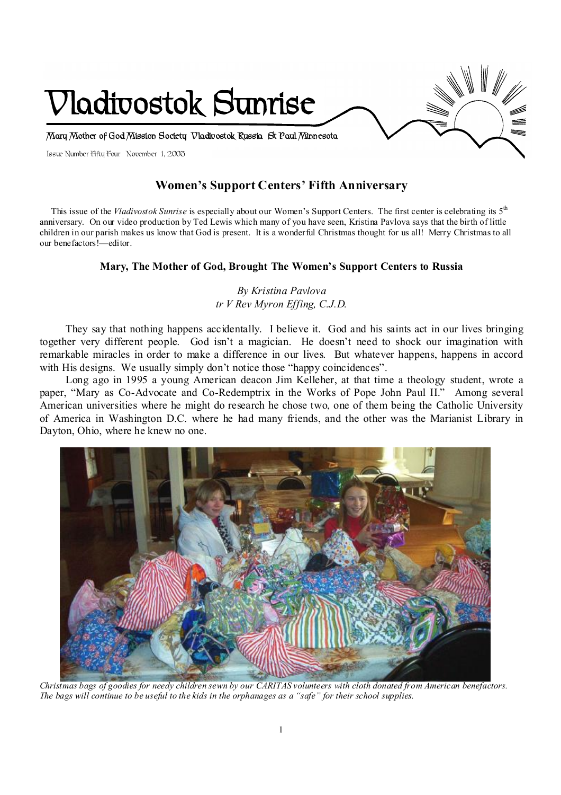

# **Women's Support Centers' Fifth Anniversary**

 This issue of the *Vladivostok Sunrise* is especially about our Women's Support Centers. The first center is celebrating its 5th anniversary. On our video production by Ted Lewis which many of you have seen, Kristina Pavlova says that the birth of little children in our parish makes us know that God is present. It is a wonderful Christmas thought for us all! Merry Christmas to all our benefactors!—editor.

## **Mary, The Mother of God, Brought The Women's Support Centers to Russia**

## *By Kristina Pavlova tr V Rev Myron Effing, C.J.D.*

They say that nothing happens accidentally. I believe it. God and his saints act in our lives bringing together very different people. God isn't a magician. He doesn't need to shock our imagination with remarkable miracles in order to make a difference in our lives. But whatever happens, happens in accord with His designs. We usually simply don't notice those "happy coincidences".

Long ago in 1995 a young American deacon Jim Kelleher, at that time a theology student, wrote a paper, "Mary as Co-Advocate and Co-Redemptrix in the Works of Pope John Paul II." Among several American universities where he might do research he chose two, one of them being the Catholic University of America in Washington D.C. where he had many friends, and the other was the Marianist Library in Dayton, Ohio, where he knew no one.



 *Christmas bags of goodies for needy children sewn by our CARITAS volunteers with cloth donated from American benefactors. The bags will continue to be useful to the kids in the orphanages as a "safe" for their school supplies.*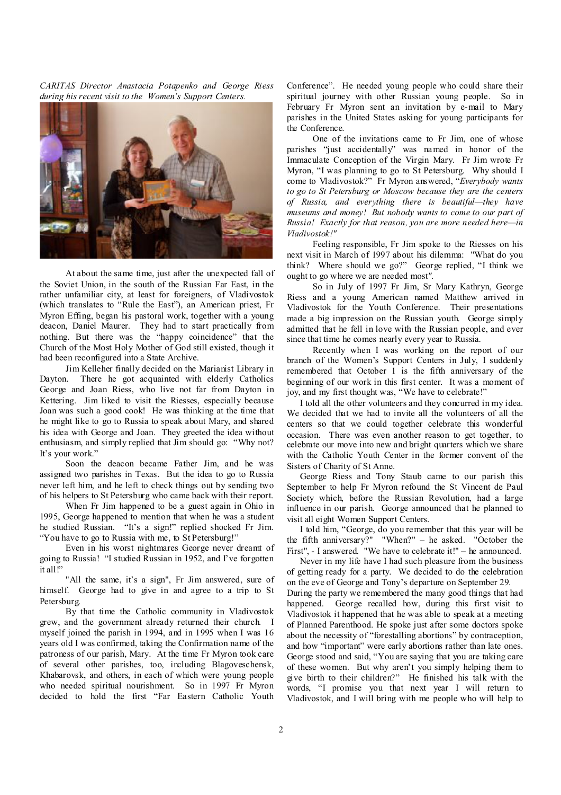*CARITAS Director Anastacia Potapenko and George Riess during his recent visit to the Women's Support Centers.* 



At about the same time, just after the unexpected fall of the Soviet Union, in the south of the Russian Far East, in the rather unfamiliar city, at least for foreigners, of Vladivostok (which translates to "Rule the East"), an American priest, Fr Myron Effing, began his pastoral work, together with a young deacon, Daniel Maurer. They had to start practically from nothing. But there was the "happy coincidence" that the Church of the Most Holy Mother of God still existed, though it had been reconfigured into a State Archive.

Jim Kelleher finally decided on the Marianist Library in Dayton. There he got acquainted with elderly Catholics George and Joan Riess, who live not far from Dayton in Kettering. Jim liked to visit the Riesses, especially because Joan was such a good cook! He was thinking at the time that he might like to go to Russia to speak about Mary, and shared his idea with George and Joan. They greeted the idea without enthusiasm, and simply replied that Jim should go: "Why not? It's your work."

Soon the deacon became Father Jim, and he was assigned two parishes in Texas. But the idea to go to Russia never left him, and he left to check things out by sending two of his helpers to St Petersburg who came back with their report.

When Fr Jim happened to be a guest again in Ohio in 1995, George happened to mention that when he was a student he studied Russian. "It's a sign!" replied shocked Fr Jim. "You have to go to Russia with me, to St Petersburg!"

Even in his worst nightmares George never dreamt of going to Russia! "I studied Russian in 1952, and I've forgotten it all!"

"All the same, it's a sign", Fr Jim answered, sure of himself. George had to give in and agree to a trip to St Petersburg.

By that time the Catholic community in Vladivostok grew, and the government already returned their church. I myself joined the parish in 1994, and in 1995 when I was 16 years old I was confirmed, taking the Confirmation name of the patroness of our parish, Mary. At the time Fr Myron took care of several other parishes, too, including Blagoveschensk, Khabarovsk, and others, in each of which were young people who needed spiritual nourishment. So in 1997 Fr Myron decided to hold the first "Far Eastern Catholic Youth

Conference". He needed young people who could share their spiritual journey with other Russian young people. So in February Fr Myron sent an invitation by e-mail to Mary parishes in the United States asking for young participants for the Conference.

One of the invitations came to Fr Jim, one of whose parishes "just accidentally" was named in honor of the Immaculate Conception of the Virgin Mary. Fr Jim wrote Fr Myron, "I was planning to go to St Petersburg. Why should I come to Vladivostok?" Fr Myron answered, "*Everybody wants to go to St Petersburg or Moscow because they are the centers of Russia, and everything there is beautiful—they have museums and money! But nobody wants to come to our part of Russia! Exactly for that reason, you are more needed here—in Vladivostok!"* 

Feeling responsible, Fr Jim spoke to the Riesses on his next visit in March of 1997 about his dilemma: "What do you think? Where should we go?" George replied, "I think we ought to go where we are needed most*".* 

So in July of 1997 Fr Jim, Sr Mary Kathryn, George Riess and a young American named Matthew arrived in Vladivostok for the Youth Conference. Their presentations made a big impression on the Russian youth. George simply admitted that he fell in love with the Russian people, and ever since that time he comes nearly every year to Russia.

Recently when I was working on the report of our branch of the Women's Support Centers in July, I suddenly remembered that October 1 is the fifth anniversary of the beginning of our work in this first center. It was a moment of joy, and my first thought was, "We have to celebrate!"

I told all the other volunteers and they concurred in my idea. We decided that we had to invite all the volunteers of all the centers so that we could together celebrate this wonderful occasion. There was even another reason to get together, to celebrate our move into new and bright quarters which we share with the Catholic Youth Center in the former convent of the Sisters of Charity of St Anne.

George Riess and Tony Staub came to our parish this September to help Fr Myron refound the St Vincent de Paul Society which, before the Russian Revolution, had a large influence in our parish. George announced that he planned to visit all eight Women Support Centers.

I told him, "George, do you remember that this year will be the fifth anniversary?" "When?" – he asked. "October the First", - I answered. "We have to celebrate it!" – he announced.

Never in my life have I had such pleasure from the business of getting ready for a party. We decided to do the celebration on the eve of George and Tony's departure on September 29.

During the party we remembered the many good things that had happened. George recalled how, during this first visit to Vladivostok it happened that he was able to speak at a meeting of Planned Parenthood. He spoke just after some doctors spoke about the necessity of "forestalling abortions" by contraception, and how "important" were early abortions rather than late ones. George stood and said, "You are saying that you are taking care of these women. But why aren't you simply helping them to give birth to their children?" He finished his talk with the words, "I promise you that next year I will return to Vladivostok, and I will bring with me people who will help to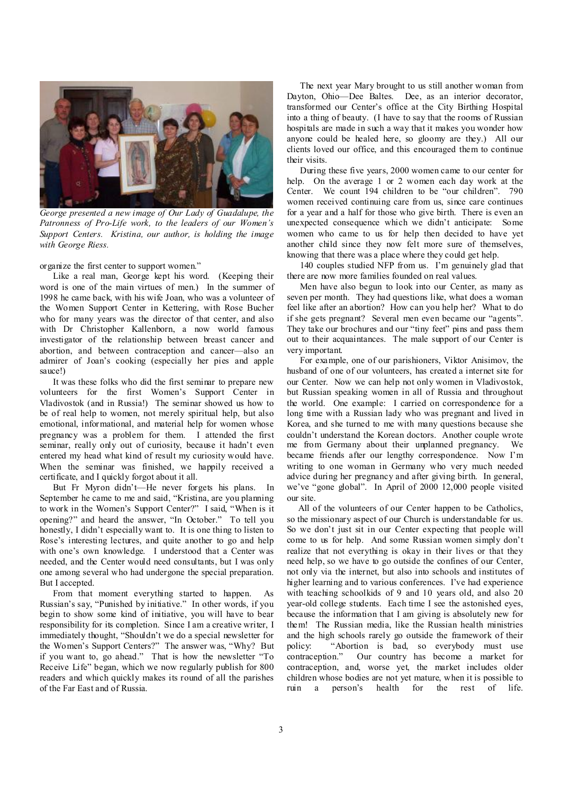

*George presented a new image of Our Lady of Guadalupe, the Patronness of Pro-Life work, to the leaders of our Women's Support Centers. Kristina, our author, is holding the image with George Riess.* 

organize the first center to support women."

Like a real man, George kept his word. (Keeping their word is one of the main virtues of men.) In the summer of 1998 he came back, with his wife Joan, who was a volunteer of the Women Support Center in Kettering, with Rose Bucher who for many years was the director of that center, and also with Dr Christopher Kallenborn, a now world famous investigator of the relationship between breast cancer and abortion, and between contraception and cancer—also an admirer of Joan's cooking (especially her pies and apple sauce!)

It was these folks who did the first seminar to prepare new volunteers for the first Women's Support Center in Vladivostok (and in Russia!) The seminar showed us how to be of real help to women, not merely spiritual help, but also emotional, informational, and material help for women whose pregnancy was a problem for them. I attended the first seminar, really only out of curiosity, because it hadn't even entered my head what kind of result my curiosity would have. When the seminar was finished, we happily received a certificate, and I quickly forgot about it all.

But Fr Myron didn't—He never forgets his plans. In September he came to me and said, "Kristina, are you planning to work in the Women's Support Center?" I said, "When is it opening?" and heard the answer, "In October." To tell you honestly, I didn't especially want to. It is one thing to listen to Rose's interesting lectures, and quite another to go and help with one's own knowledge. I understood that a Center was needed, and the Center would need consultants, but I was only one among several who had undergone the special preparation. But I accepted.

From that moment everything started to happen. As Russian's say, "Punished by initiative." In other words, if you begin to show some kind of initiative, you will have to bear responsibility for its completion. Since I am a creative writer, I immediately thought, "Shouldn't we do a special newsletter for the Women's Support Centers?" The answer was, "Why? But if you want to, go ahead." That is how the newsletter "To Receive Life" began, which we now regularly publish for 800 readers and which quickly makes its round of all the parishes of the Far East and of Russia.

The next year Mary brought to us still another woman from Dayton, Ohio—Dee Baltes. Dee, as an interior decorator, transformed our Center's office at the City Birthing Hospital into a thing of beauty. (I have to say that the rooms of Russian hospitals are made in such a way that it makes you wonder how anyone could be healed here, so gloomy are they.) All our clients loved our office, and this encouraged them to continue their visits.

During these five years, 2000 women came to our center for help. On the average 1 or 2 women each day work at the Center. We count 194 children to be "our children". 790 women received continuing care from us, since care continues for a year and a half for those who give birth. There is even an unexpected consequence which we didn't anticipate: Some women who came to us for help then decided to have yet another child since they now felt more sure of themselves, knowing that there was a place where they could get help.

140 couples studied NFP from us. I'm genuinely glad that there are now more families founded on real values.

Men have also begun to look into our Center, as many as seven per month. They had questions like, what does a woman feel like after an abortion? How can you help her? What to do if she gets pregnant? Several men even became our "agents". They take our brochures and our "tiny feet" pins and pass them out to their acquaintances. The male support of our Center is very important.

For example, one of our parishioners, Viktor Anisimov, the husband of one of our volunteers, has created a internet site for our Center. Now we can help not only women in Vladivostok, but Russian speaking women in all of Russia and throughout the world. One example: I carried on correspondence for a long time with a Russian lady who was pregnant and lived in Korea, and she turned to me with many questions because she couldn't understand the Korean doctors. Another couple wrote me from Germany about their unplanned pregnancy. We became friends after our lengthy correspondence. Now I'm writing to one woman in Germany who very much needed advice during her pregnancy and after giving birth. In general, we've "gone global". In April of 2000 12,000 people visited our site.

 All of the volunteers of our Center happen to be Catholics, so the missionary aspect of our Church is understandable for us. So we don't just sit in our Center expecting that people will come to us for help. And some Russian women simply don't realize that not everything is okay in their lives or that they need help, so we have to go outside the confines of our Center, not only via the internet, but also into schools and institutes of higher learning and to various conferences. I've had experience with teaching schoolkids of 9 and 10 years old, and also 20 year-old college students. Each time I see the astonished eyes, because the information that I am giving is absolutely new for them! The Russian media, like the Russian health ministries and the high schools rarely go outside the framework of their policy: "Abortion is bad, so everybody must use contraception." Our country has become a market for contraception, and, worse yet, the market includes older children whose bodies are not yet mature, when it is possible to ruin a person's health for the rest of life.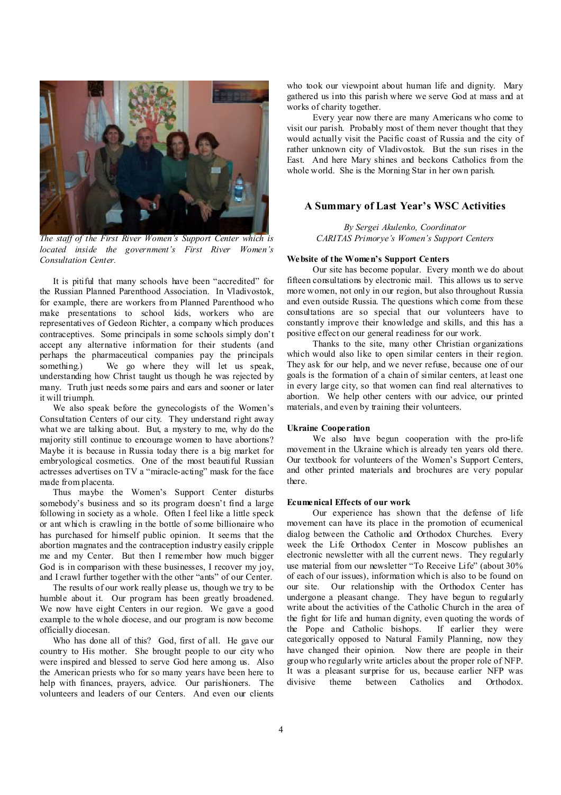

*The staff of the First River Women's Support Center which is located inside the government's First River Women's Consultation Center.* 

It is pitiful that many schools have been "accredited" for the Russian Planned Parenthood Association. In Vladivostok, for example, there are workers from Planned Parenthood who make presentations to school kids, workers who are representatives of Gedeon Richter, a company which produces contraceptives. Some principals in some schools simply don't accept any alternative information for their students (and perhaps the pharmaceutical companies pay the principals something.) We go where they will let us speak, understanding how Christ taught us though he was rejected by many. Truth just needs some pairs and ears and sooner or later it will triumph.

We also speak before the gynecologists of the Women's Consultation Centers of our city. They understand right away what we are talking about. But, a mystery to me, why do the majority still continue to encourage women to have abortions? Maybe it is because in Russia today there is a big market for embryological cosmetics. One of the most beautiful Russian actresses advertises on TV a "miracle-acting" mask for the face made from placenta.

Thus maybe the Women's Support Center disturbs somebody's business and so its program doesn't find a large following in society as a whole. Often I feel like a little speck or ant which is crawling in the bottle of some billionaire who has purchased for himself public opinion. It seems that the abortion magnates and the contraception industry easily cripple me and my Center. But then I remember how much bigger God is in comparison with these businesses, I recover my joy, and I crawl further together with the other "ants" of our Center.

The results of our work really please us, though we try to be humble about it. Our program has been greatly broadened. We now have eight Centers in our region. We gave a good example to the whole diocese, and our program is now become officially diocesan.

Who has done all of this? God, first of all. He gave our country to His mother. She brought people to our city who were inspired and blessed to serve God here among us. Also the American priests who for so many years have been here to help with finances, prayers, advice. Our parishioners. The volunteers and leaders of our Centers. And even our clients

who took our viewpoint about human life and dignity. Mary gathered us into this parish where we serve God at mass and at works of charity together.

Every year now there are many Americans who come to visit our parish. Probably most of them never thought that they would actually visit the Pacific coast of Russia and the city of rather unknown city of Vladivostok. But the sun rises in the East. And here Mary shines and beckons Catholics from the whole world. She is the Morning Star in her own parish.

## **A Summary of Last Year's WSC Activities**

*By Sergei Akulenko, Coordinator CARITAS Primorye's Women's Support Centers* 

#### **Website of the Women's Support Centers**

Our site has become popular. Every month we do about fifteen consultations by electronic mail. This allows us to serve more women, not only in our region, but also throughout Russia and even outside Russia. The questions which come from these consultations are so special that our volunteers have to constantly improve their knowledge and skills, and this has a positive effect on our general readiness for our work.

Thanks to the site, many other Christian organizations which would also like to open similar centers in their region. They ask for our help, and we never refuse, because one of our goals is the formation of a chain of similar centers, at least one in every large city, so that women can find real alternatives to abortion. We help other centers with our advice, our printed materials, and even by training their volunteers.

#### **Ukraine Cooperation**

We also have begun cooperation with the pro-life movement in the Ukraine which is already ten years old there. Our textbook for volunteers of the Women's Support Centers, and other printed materials and brochures are very popular there.

#### **Ecumenical Effects of our work**

Our experience has shown that the defense of life movement can have its place in the promotion of ecumenical dialog between the Catholic and Orthodox Churches. Every week the Life Orthodox Center in Moscow publishes an electronic newsletter with all the current news. They regularly use material from our newsletter "To Receive Life" (about 30% of each of our issues), information which is also to be found on our site. Our relationship with the Orthodox Center has undergone a pleasant change. They have begun to regularly write about the activities of the Catholic Church in the area of the fight for life and human dignity, even quoting the words of the Pope and Catholic bishops. If earlier they were categorically opposed to Natural Family Planning, now they have changed their opinion. Now there are people in their group who regularly write articles about the proper role of NFP. It was a pleasant surprise for us, because earlier NFP was divisive theme between Catholics and Orthodox.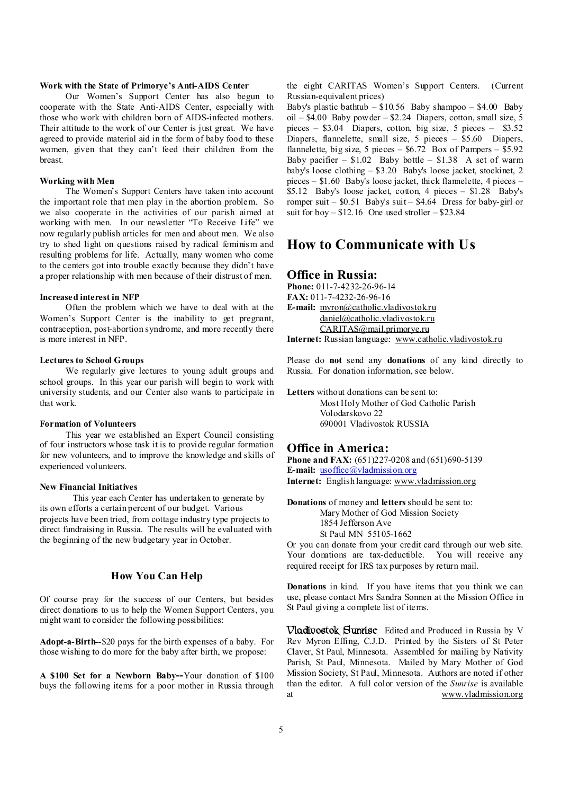#### **Work with the State of Primorye's Anti-AIDS Center**

Our Women's Support Center has also begun to cooperate with the State Anti-AIDS Center, especially with those who work with children born of AIDS-infected mothers. Their attitude to the work of our Center is just great. We have agreed to provide material aid in the form of baby food to these women, given that they can't feed their children from the breast.

## **Working with Men**

The Women's Support Centers have taken into account the important role that men play in the abortion problem. So we also cooperate in the activities of our parish aimed at working with men. In our newsletter "To Receive Life" we now regularly publish articles for men and about men. We also try to shed light on questions raised by radical feminism and resulting problems for life. Actually, many women who come to the centers got into trouble exactly because they didn't have a proper relationship with men because of their distrust of men.

#### **Increased interest in NFP**

Often the problem which we have to deal with at the Women's Support Center is the inability to get pregnant, contraception, post-abortion syndrome, and more recently there is more interest in NFP.

#### **Lectures to School Groups**

We regularly give lectures to young adult groups and school groups. In this year our parish will begin to work with university students, and our Center also wants to participate in that work.

#### **Formation of Volunteers**

This year we established an Expert Council consisting of four instructors whose task it is to provide regular formation for new volunteers, and to improve the knowledge and skills of experienced volunteers.

#### **New Financial Initiatives**

This year each Center has undertaken to generate by its own efforts a certain percent of our budget. Various projects have been tried, from cottage industry type projects to direct fundraising in Russia. The results will be evaluated with the beginning of the new budgetary year in October.

## **How You Can Help**

Of course pray for the success of our Centers, but besides direct donations to us to help the Women Support Centers, you might want to consider the following possibilities:

**Adopt-a-Birth--**\$20 pays for the birth expenses of a baby. For those wishing to do more for the baby after birth, we propose:

**A \$100 Set for a Newborn Baby--**Your donation of \$100 buys the following items for a poor mother in Russia through the eight CARITAS Women's Support Centers. (Current Russian-equivalent prices)

Baby's plastic bathtub – \$10.56 Baby shampoo – \$4.00 Baby oil – \$4.00 Baby powder – \$2.24 Diapers, cotton, small size, 5 pieces – \$3.04 Diapers, cotton, big size, 5 pieces – \$3.52 Diapers, flannelette, small size, 5 pieces – \$5.60 Diapers, flannelette, big size, 5 pieces –  $$6.72$  Box of Pampers –  $$5.92$ Baby pacifier  $-$  \$1.02 Baby bottle  $-$  \$1.38 A set of warm baby's loose clothing – \$3.20 Baby's loose jacket, stockinet, 2 pieces – \$1.60 Baby's loose jacket, thick flannelette, 4 pieces – \$5.12 Baby's loose jacket, cotton, 4 pieces – \$1.28 Baby's romper suit –  $$0.51$  Baby's suit –  $$4.64$  Dress for baby-girl or suit for boy –  $$12.16$  One used stroller –  $$23.84$ 

# **How to Communicate with Us**

### **Office in Russia:**

**Phone:** 011-7-4232-26-96-14 **FAX:** 011-7-4232-26-96-16 **E-mail:** [myron@catholic.vladivostok.ru](mailto:myron@catholic.vladivostok.ru) [daniel@catholic.vladivostok.ru](mailto:daniel@catholic.vladivostok.ru) [CARITAS@mail.primorye.ru](mailto:CARITAS@mail.primorye.ru)

**Internet:** Russian language: [www.catholic.vladivostok.ru](http://www.catholic.vladivostok.ru)

Please do **not** send any **donations** of any kind directly to Russia. For donation information, see below.

**Letters** without donations can be sent to:

Most Holy Mother of God Catholic Parish Volodarskovo 22 690001 Vladivostok RUSSIA

### **Office in America:**

**Phone and FAX:** (651)227-0208 and (651)690-5139 **E-mail:** <u>usoffice</u>@vladmission.org **Internet:** English language: [www.vladmission.org](http://www.vladmission.org)

**Donations** of money and **letters** should be sent to: Mary Mother of God Mission Society 1854 Jefferson Ave St Paul MN 55105-1662

Or you can donate from your credit card through our web site. Your donations are tax-deductible. You will receive any required receipt for IRS tax purposes by return mail.

**Donations** in kind. If you have items that you think we can use, please contact Mrs Sandra Sonnen at the Mission Office in St Paul giving a complete list of items.

**Vladivostok Sunrise** Edited and Produced in Russia by V Rev Myron Effing, C.J.D. Printed by the Sisters of St Peter Claver, St Paul, Minnesota. Assembled for mailing by Nativity Parish, St Paul, Minnesota. Mailed by Mary Mother of God Mission Society, St Paul, Minnesota. Authors are noted if other than the editor. A full color version of the *Sunrise* is available at [www.vladmission.org](http://www.vladmission.org)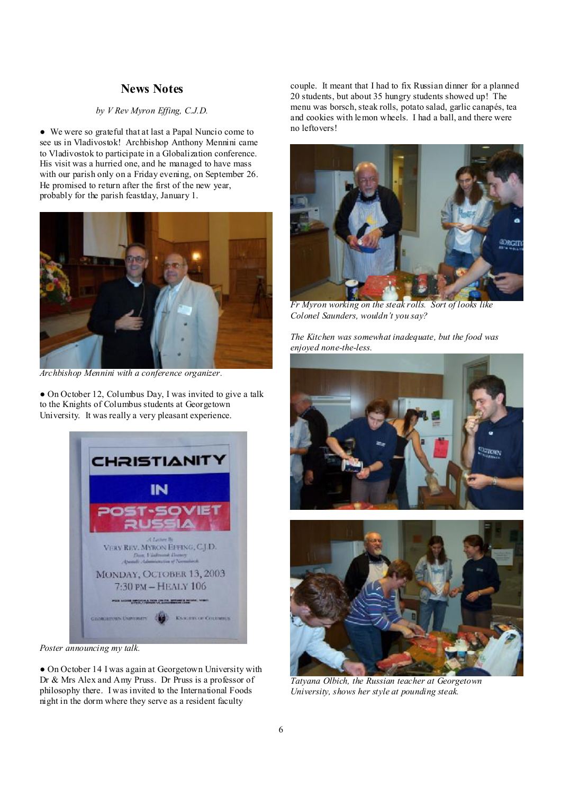## **News Notes**

## *by V Rev Myron Effing, C.J.D.*

● We were so grateful that at last a Papal Nuncio come to see us in Vladivostok! Archbishop Anthony Mennini came to Vladivostok to participate in a Globalization conference. His visit was a hurried one, and he managed to have mass with our parish only on a Friday evening, on September 26. He promised to return after the first of the new year, probably for the parish feastday, January 1.



*Archbishop Mennini with a conference organizer.* 

• On October 12, Columbus Day, I was invited to give a talk to the Knights of Columbus students at Georgetown University. It was really a very pleasant experience.



J *Poster announcing my talk.* 

● On October 14 I was again at Georgetown University with Dr & Mrs Alex and Amy Pruss. Dr Pruss is a professor of philosophy there. I was invited to the International Foods night in the dorm where they serve as a resident faculty

couple. It meant that I had to fix Russian dinner for a planned 20 students, but about 35 hungry students showed up! The menu was borsch, steak rolls, potato salad, garlic canapés, tea and cookies with lemon wheels. I had a ball, and there were no leftovers!



*Fr Myron working on the steak rolls. Sort of looks like Colonel Saunders, wouldn't you say?* 

*The Kitchen was somewhat inadequate, but the food was enjoyed none-the-less.* 



*Tatyana Olbich, the Russian teacher at Georgetown University, shows her style at pounding steak.*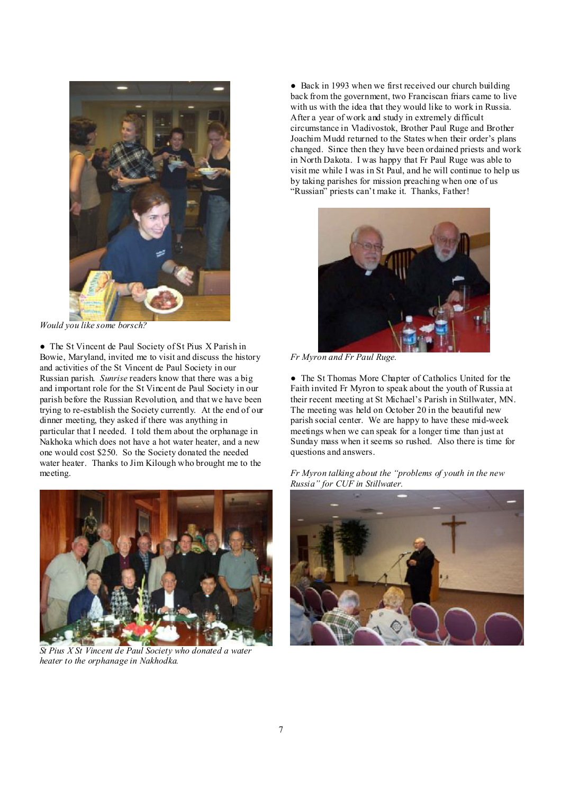

 *Would you like some borsch?* 

● The St Vincent de Paul Society of St Pius X Parish in Bowie, Maryland, invited me to visit and discuss the history and activities of the St Vincent de Paul Society in our Russian parish. *Sunrise* readers know that there was a big and important role for the St Vincent de Paul Society in our parish before the Russian Revolution, and that we have been trying to re-establish the Society currently. At the end of our dinner meeting, they asked if there was anything in particular that I needed. I told them about the orphanage in Nakhoka which does not have a hot water heater, and a new one would cost \$250. So the Society donated the needed water heater. Thanks to Jim Kilough who brought me to the meeting.



*St Pius X St Vincent de Paul Society who donated a water heater to the orphanage in Nakhodka.* 

● Back in 1993 when we first received our church building back from the government, two Franciscan friars came to live with us with the idea that they would like to work in Russia. After a year of work and study in extremely difficult circumstance in Vladivostok, Brother Paul Ruge and Brother Joachim Mudd returned to the States when their order's plans changed. Since then they have been ordained priests and work in North Dakota. I was happy that Fr Paul Ruge was able to visit me while I was in St Paul, and he will continue to help us by taking parishes for mission preaching when one of us "Russian" priests can't make it. Thanks, Father!



 *Fr Myron and Fr Paul Ruge.* 

● The St Thomas More Chapter of Catholics United for the Faith invited Fr Myron to speak about the youth of Russia at their recent meeting at St Michael's Parish in Stillwater, MN. The meeting was held on October 20 in the beautiful new parish social center. We are happy to have these mid-week meetings when we can speak for a longer time than just at Sunday mass when it seems so rushed. Also there is time for questions and answers.

*Fr Myron talking about the "problems of youth in the new Russia" for CUF in Stillwater.*